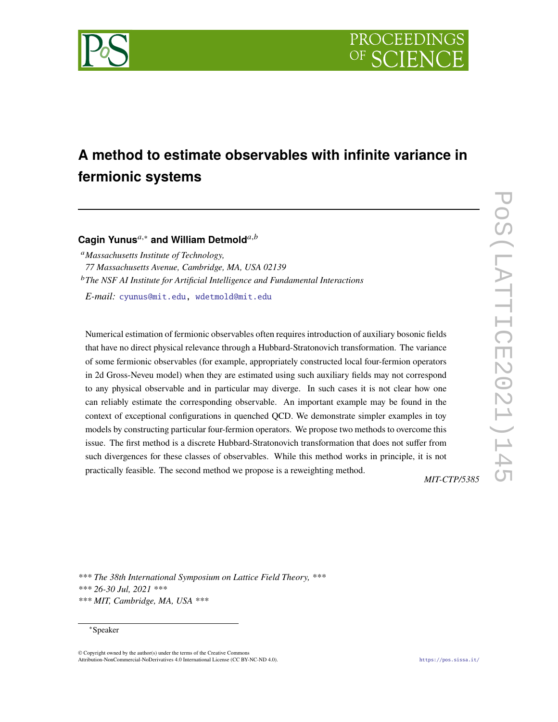

# **A method to estimate observables with infinite variance in fermionic systems**

# Cagin Yunus<sup>*a*,∗</sup> and William Detmold<sup>*a,b*</sup>

*Massachusetts Institute of Technology, 77 Massachusetts Avenue, Cambridge, MA, USA 02139 The NSF AI Institute for Artificial Intelligence and Fundamental Interactions*

*E-mail:* [cyunus@mit.edu,](mailto:cyunus@mit.edu) [wdetmold@mit.edu](mailto:wdetmold@mit.edu)

Numerical estimation of fermionic observables often requires introduction of auxiliary bosonic fields that have no direct physical relevance through a Hubbard-Stratonovich transformation. The variance of some fermionic observables (for example, appropriately constructed local four-fermion operators in 2d Gross-Neveu model) when they are estimated using such auxiliary fields may not correspond to any physical observable and in particular may diverge. In such cases it is not clear how one can reliably estimate the corresponding observable. An important example may be found in the context of exceptional configurations in quenched QCD. We demonstrate simpler examples in toy models by constructing particular four-fermion operators. We propose two methods to overcome this issue. The first method is a discrete Hubbard-Stratonovich transformation that does not suffer from such divergences for these classes of observables. While this method works in principle, it is not practically feasible. The second method we propose is a reweighting method.

*MIT-CTP/5385*

*\*\*\* The 38th International Symposium on Lattice Field Theory, \*\*\* \*\*\* 26-30 Jul, 2021 \*\*\* \*\*\* MIT, Cambridge, MA, USA \*\*\**

# <sup>∗</sup>Speaker

© Copyright owned by the author(s) under the terms of the Creative Commons Attribution-NonCommercial-NoDerivatives 4.0 International License (CC BY-NC-ND 4.0). <https://pos.sissa.it/>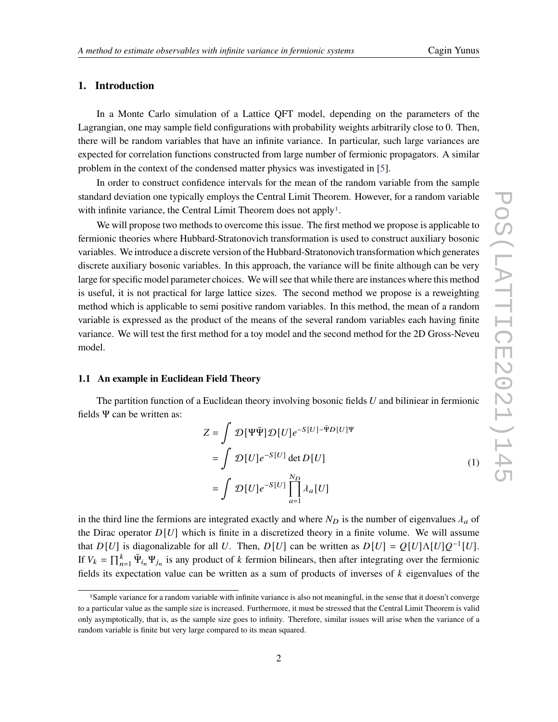# **1. Introduction**

In a Monte Carlo simulation of a Lattice QFT model, depending on the parameters of the Lagrangian, one may sample field configurations with probability weights arbitrarily close to 0. Then, there will be random variables that have an infinite variance. In particular, such large variances are expected for correlation functions constructed from large number of fermionic propagators. A similar problem in the context of the condensed matter physics was investigated in [\[5\]](#page-8-0).

In order to construct confidence intervals for the mean of the random variable from the sample standard deviation one typically employs the Central Limit Theorem. However, for a random variable with infinite variance, the Central Limit Theorem does not apply<sup>[1](#page-1-0)</sup>.

We will propose two methods to overcome this issue. The first method we propose is applicable to fermionic theories where Hubbard-Stratonovich transformation is used to construct auxiliary bosonic variables. We introduce a discrete version of the Hubbard-Stratonovich transformation which generates discrete auxiliary bosonic variables. In this approach, the variance will be finite although can be very large for specific model parameter choices. We will see that while there are instances where this method is useful, it is not practical for large lattice sizes. The second method we propose is a reweighting method which is applicable to semi positive random variables. In this method, the mean of a random variable is expressed as the product of the means of the several random variables each having finite variance. We will test the first method for a toy model and the second method for the 2D Gross-Neveu model.

# **1.1 An example in Euclidean Field Theory**

The partition function of a Euclidean theory involving bosonic fields  $U$  and biliniear in fermionic fields  $\Psi$  can be written as:

$$
Z = \int \mathcal{D}[\Psi \bar{\Psi}] \mathcal{D}[U] e^{-S[U] - \bar{\Psi}D[U]\Psi}
$$
  
= 
$$
\int \mathcal{D}[U] e^{-S[U]} \det D[U]
$$
  
= 
$$
\int \mathcal{D}[U] e^{-S[U]} \prod_{a=1}^{N_D} \lambda_a[U]
$$
 (1)

in the third line the fermions are integrated exactly and where  $N_D$  is the number of eigenvalues  $\lambda_a$  of the Dirac operator  $D[U]$  which is finite in a discretized theory in a finite volume. We will assume that  $D[U]$  is diagonalizable for all U. Then,  $D[U]$  can be written as  $D[U] = Q[U] \Lambda[U] Q^{-1}[U]$ . If  $V_k = \prod_{n=1}^k \bar{\Psi}_{i_n} \Psi_{j_n}$  is any product of k fermion bilinears, then after integrating over the fermionic fields its expectation value can be written as a sum of products of inverses of  $k$  eigenvalues of the

<span id="page-1-0"></span><sup>1</sup>Sample variance for a random variable with infinite variance is also not meaningful, in the sense that it doesn't converge to a particular value as the sample size is increased. Furthermore, it must be stressed that the Central Limit Theorem is valid only asymptotically, that is, as the sample size goes to infinity. Therefore, similar issues will arise when the variance of a random variable is finite but very large compared to its mean squared.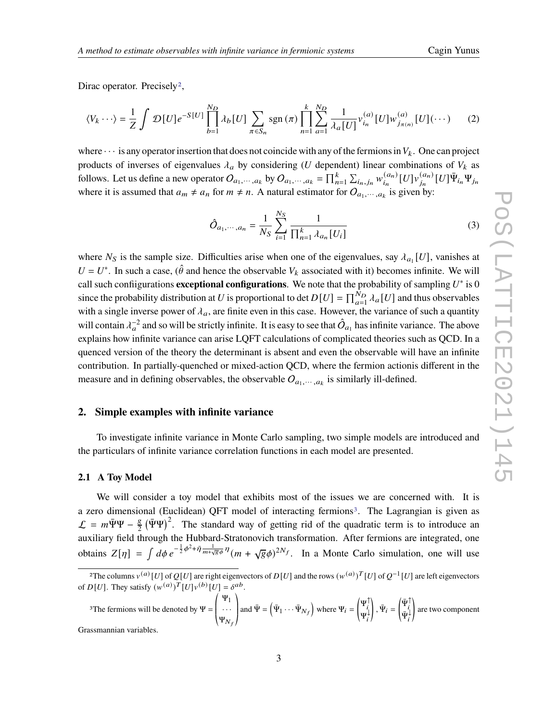Dirac operator. Precisely<sup>[2](#page-2-0)</sup>,

$$
\langle V_k \cdots \rangle = \frac{1}{Z} \int \mathcal{D}[U] e^{-S[U]} \prod_{b=1}^{N_D} \lambda_b[U] \sum_{\pi \in S_n} \text{sgn}(\pi) \prod_{n=1}^k \sum_{a=1}^{N_D} \frac{1}{\lambda_a[U]} v_{i_n}^{(a)}[U] w_{j_{\pi(n)}}^{(a)}[U](\cdots)
$$
 (2)

where  $\cdots$  is any operator insertion that does not coincide with any of the fermions in  $V_k$ . One can project products of inverses of eigenvalues  $\lambda_a$  by considering (U dependent) linear combinations of  $V_k$  as follows. Let us define a new operator  $O_{a_1,\dots, a_k}$  by  $O_{a_1,\dots, a_k} = \prod_{n=1}^k \sum_{i_n, j_n} w_{i_n}^{(a_n)}$  $\binom{(a_n)}{i_n} [U] \nu_{j_n}^{(a_n)}$  $_{j_n}^{(a_n)}[U]\bar{\Psi}_{i_n}\Psi_{j_n}$ where it is assumed that  $a_m \neq a_n$  for  $m \neq n$ . A natural estimator for  $O_{a_1, \dots, a_k}$  is given by:

$$
\hat{O}_{a_1,\dots,a_n} = \frac{1}{N_S} \sum_{i=1}^{N_S} \frac{1}{\prod_{n=1}^k \lambda_{a_n} [U_i]}
$$
(3)

where  $N_S$  is the sample size. Difficulties arise when one of the eigenvalues, say  $\lambda_{a_1}[U]$ , vanishes at  $U = U^*$ . In such a case, ( $\hat{\theta}$  and hence the observable  $V_k$  associated with it) becomes infinite. We will call such confiigurations **exceptional configurations**. We note that the probability of sampling  $U^*$  is 0 since the probability distribution at U is proportional to det  $D[U] = \prod_{a=1}^{N_D} \lambda_a[U]$  and thus observables with a single inverse power of  $\lambda_a$ , are finite even in this case. However, the variance of such a quantity will contain  $\lambda_a^{-2}$  and so will be strictly infinite. It is easy to see that  $\hat{O}_{a_1}$  has infinite variance. The above explains how infinite variance can arise LQFT calculations of complicated theories such as QCD. In a quenced version of the theory the determinant is absent and even the observable will have an infinite contribution. In partially-quenched or mixed-action QCD, where the fermion actionis different in the measure and in defining observables, the observable  $O_{a_1,\dots, a_k}$  is similarly ill-defined.

# **2. Simple examples with infinite variance**

To investigate infinite variance in Monte Carlo sampling, two simple models are introduced and the particulars of infinite variance correlation functions in each model are presented.

#### **2.1 A Toy Model**

We will consider a toy model that exhibits most of the issues we are concerned with. It is a zero dimensional (Euclidean) QFT model of interacting fermions<sup>[3](#page-2-1)</sup>. The Lagrangian is given as  $\mathcal{L} = m\bar{\Psi}\Psi - \frac{g}{2}$  $\frac{g}{2}(\bar{\Psi}\Psi)^2$ . The standard way of getting rid of the quadratic term is to introduce an auxiliary field through the Hubbard-Stratonovich transformation. After fermions are integrated, one obtains  $Z[\eta] = \int d\phi \, e^{-\frac{1}{2}\phi^2 + \bar{\eta} \frac{1}{m+\sqrt{g}\phi} \eta} (m+\sqrt{g}\phi)^{2N_f}$ . In a Monte Carlo simulation, one will use

<span id="page-2-1"></span><sup>3</sup>The fermions will be denoted by  $\Psi = \left( \begin{array}{c} 0 & \text{if } \theta \leq \theta \\ 0 & \text{if } \theta \leq \theta \end{array} \right)$ Ψ1 · · ·  $\Psi_{N_f}$  $\Big\}$ and  $\bar{\Psi} = (\bar{\Psi}_1 \cdots \bar{\Psi}_{N_f})$  where  $\Psi_i =$  $\left| \Psi_i^{\uparrow} \right|$  $\Psi_i^{\downarrow}$  $\bigg), \bar{\Psi}_i =$  $\left( \bar{\Psi}_i^{\uparrow} \right)$  $\bar{\Psi}_i^{\downarrow}$ ! are two component

Grassmannian variables.

<span id="page-2-0"></span><sup>&</sup>lt;sup>2</sup>The columns  $v^{(a)}[U]$  of  $Q[U]$  are right eigenvectors of  $D[U]$  and the rows  $(w^{(a)})^T[U]$  of  $Q^{-1}[U]$  are left eigenvectors of  $D[U]$ . They satisfy  $(w^{(a)})^T [U] v^{(b)} [U] = \delta^{ab}$ .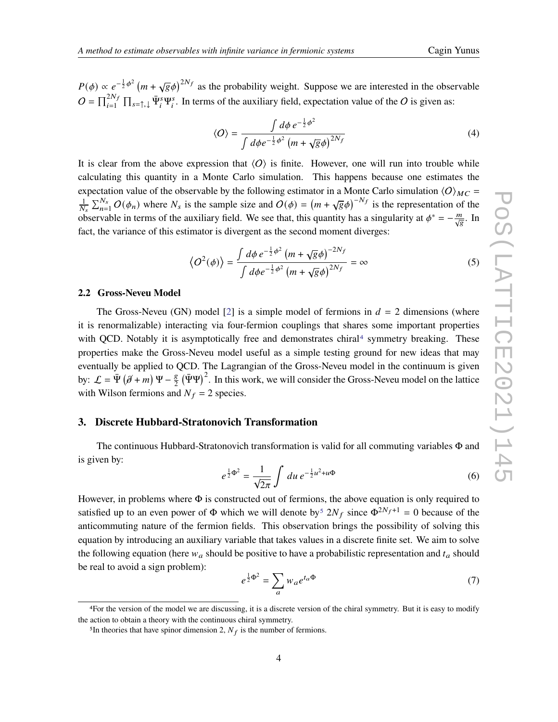$P(\phi) \propto e^{-\frac{1}{2}\phi^2} (m + \sqrt{g}\phi)^{2N_f}$  as the probability weight. Suppose we are interested in the observable  $O = \prod_{i=1}^{2N_f} \prod_{s=\uparrow,\downarrow} \bar{\Psi}_i^s \Psi_i^s$ . In terms of the auxiliary field, expectation value of the O is given as:

$$
\langle O \rangle = \frac{\int d\phi \, e^{-\frac{1}{2}\phi^2}}{\int d\phi e^{-\frac{1}{2}\phi^2} \left( m + \sqrt{g}\phi \right)^{2N_f}} \tag{4}
$$

It is clear from the above expression that  $\langle O \rangle$  is finite. However, one will run into trouble while calculating this quantity in a Monte Carlo simulation. This happens because one estimates the expectation value of the observable by the following estimator in a Monte Carlo simulation  $\langle O \rangle_{MC}$  =  $\frac{1}{N_s} \sum_{n=1}^{N_s} O(\phi_n)$  where  $N_s$  is the sample size and  $O(\phi) = (m + \sqrt{g}\phi)^{-N_f}$  is the representation of the observable in terms of the auxiliary field. We see that, this quantity has a singularity at  $\phi^* = -\frac{m}{\sqrt{g}}$ . In fact, the variance of this estimator is divergent as the second moment diverges:

$$
\langle O^2(\phi) \rangle = \frac{\int d\phi \, e^{-\frac{1}{2}\phi^2} \left( m + \sqrt{g}\phi \right)^{-2N_f}}{\int d\phi e^{-\frac{1}{2}\phi^2} \left( m + \sqrt{g}\phi \right)^{2N_f}} = \infty \tag{5}
$$

#### **2.2 Gross-Neveu Model**

The Gross-Neveu (GN) model [\[2\]](#page-7-0) is a simple model of fermions in  $d = 2$  dimensions (where it is renormalizable) interacting via four-fermion couplings that shares some important properties with QCD. Notably it is asymptotically free and demonstrates chiral<sup>[4](#page-3-0)</sup> symmetry breaking. These properties make the Gross-Neveu model useful as a simple testing ground for new ideas that may eventually be applied to QCD. The Lagrangian of the Gross-Neveu model in the continuum is given by:  $\mathcal{L} = \bar{\Psi} (\hat{\mathcal{J}} + m) \Psi - \frac{g}{2}$  $\frac{g}{2}$  ( $\bar{\Psi}\Psi$ )<sup>2</sup>. In this work, we will consider the Gross-Neveu model on the lattice with Wilson fermions and  $N_f = 2$  species.

# **3. Discrete Hubbard-Stratonovich Transformation**

The continuous Hubbard-Stratonovich transformation is valid for all commuting variables Φ and is given by:

$$
e^{\frac{1}{2}\Phi^2} = \frac{1}{\sqrt{2\pi}} \int du \, e^{-\frac{1}{2}u^2 + u\Phi} \tag{6}
$$

However, in problems where  $\Phi$  is constructed out of fermions, the above equation is only required to satisfied up to an even power of  $\Phi$  which we will denote by<sup>[5](#page-3-1)</sup>  $2N_f$  since  $\Phi^{2N_f+1} = 0$  because of the anticommuting nature of the fermion fields. This observation brings the possibility of solving this equation by introducing an auxiliary variable that takes values in a discrete finite set. We aim to solve the following equation (here  $w_a$  should be positive to have a probabilistic representation and  $t_a$  should be real to avoid a sign problem):

<span id="page-3-2"></span>
$$
e^{\frac{1}{2}\Phi^2} = \sum_a w_a e^{t_a \Phi} \tag{7}
$$

<span id="page-3-0"></span><sup>4</sup>For the version of the model we are discussing, it is a discrete version of the chiral symmetry. But it is easy to modify the action to obtain a theory with the continuous chiral symmetry.

<span id="page-3-1"></span><sup>&</sup>lt;sup>5</sup>In theories that have spinor dimension 2,  $N_f$  is the number of fermions.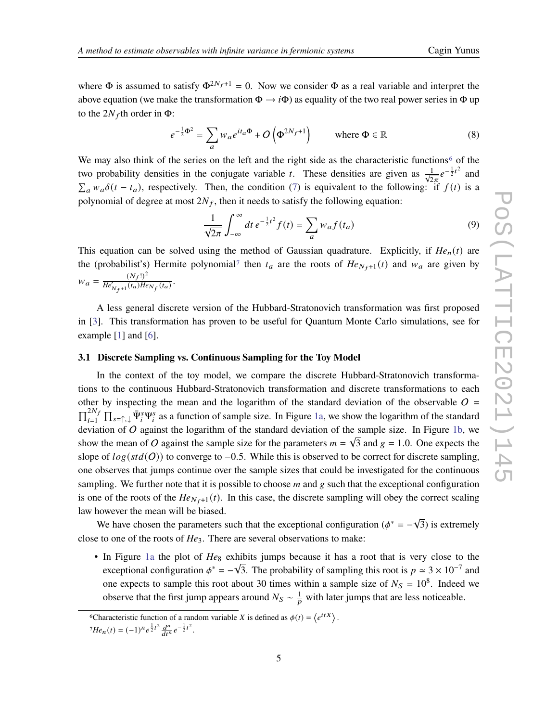where  $\Phi$  is assumed to satisfy  $\Phi^{2N_f+1} = 0$ . Now we consider  $\Phi$  as a real variable and interpret the above equation (we make the transformation  $\Phi \to i\Phi$ ) as equality of the two real power series in  $\Phi$  up to the  $2N_f$ th order in  $\Phi$ :

$$
e^{-\frac{1}{2}\Phi^2} = \sum_a w_a e^{it_a \Phi} + O\left(\Phi^{2N_f+1}\right) \qquad \text{where } \Phi \in \mathbb{R}
$$
 (8)

We may also think of the series on the left and the right side as the characteristic functions<sup>[6](#page-4-0)</sup> of the two probability densities in the conjugate variable *t*. These densities are given as  $\frac{1}{\sqrt{2\pi}}e^{-\frac{1}{2}t^2}$  and  $\sum_a w_a \delta(t - t_a)$ , respectively. Then, the condition [\(7\)](#page-3-2) is equivalent to the following: if  $f(t)$  is a polynomial of degree at most  $2N_f$ , then it needs to satisfy the following equation:

$$
\frac{1}{\sqrt{2\pi}} \int_{-\infty}^{\infty} dt \, e^{-\frac{1}{2}t^2} f(t) = \sum_{a} w_a f(t_a) \tag{9}
$$

This equation can be solved using the method of Gaussian quadrature. Explicitly, if  $He_n(t)$  are the (probabilist's) Hermite polynomial<sup>[7](#page-4-1)</sup> then  $t_a$  are the roots of  $He_{N_f+1}(t)$  and  $w_a$  are given by  $W_a = \frac{(N_f!)^2}{He^{\prime} + (t_0)He^{\prime}}$  $\frac{(N_f\tau)}{He'_{N_f+1}(t_a)He_{N_f}(t_a)}$ .

A less general discrete version of the Hubbard-Stratonovich transformation was first proposed in [\[3\]](#page-8-1). This transformation has proven to be useful for Quantum Monte Carlo simulations, see for example [\[1\]](#page-7-1) and [\[6\]](#page-8-2).

# **3.1 Discrete Sampling vs. Continuous Sampling for the Toy Model**

In the context of the toy model, we compare the discrete Hubbard-Stratonovich transformations to the continuous Hubbard-Stratonovich transformation and discrete transformations to each other by inspecting the mean and the logarithm of the standard deviation of the observable  $O =$  $\prod_{i=1}^{2N_f} \prod_{s=\uparrow,\downarrow} \bar{\Psi}_i^s \Psi_i^s$  as a function of sample size. In Figure [1a,](#page-5-0) we show the logarithm of the standard deviation of O against the logarithm of the standard deviation of the sample size. In Figure [1b,](#page-5-0) we show the mean of O against the sample size for the parameters  $m = \sqrt{3}$  and  $g = 1.0$ . One expects the slope of  $log(std(O))$  to converge to -0.5. While this is observed to be correct for discrete sampling, one observes that jumps continue over the sample sizes that could be investigated for the continuous sampling. We further note that it is possible to choose  $m$  and  $g$  such that the exceptional configuration is one of the roots of the  $He_{N_f+1}(t)$ . In this case, the discrete sampling will obey the correct scaling law however the mean will be biased.

Nowever the mean will be blased.<br>We have chosen the parameters such that the exceptional configuration ( $\phi^* = -\sqrt{\frac{F(t)}{F(t)}}$ 3) is extremely close to one of the roots of *He*3. There are several observations to make:

• In Figure [1a](#page-5-0) the plot of  $He_8$  exhibits jumps because it has a root that is very close to the exceptional configuration  $\phi^* = -\sqrt{3}$ . The probability of sampling this root is  $p \approx 3 \times 10^{-7}$  and one expects to sample this root about 30 times within a sample size of  $N_s = 10^8$ . Indeed we observe that the first jump appears around  $N_S \sim \frac{1}{p}$  with later jumps that are less noticeable.

<span id="page-4-0"></span><sup>&</sup>lt;sup>6</sup>Characteristic function of a random variable *X* is defined as  $\phi(t) = \langle e^{itX} \rangle$ .

<span id="page-4-1"></span> $7He_n(t) = (-1)^n e^{\frac{1}{2}t^2} \frac{d^n}{dt^n} e^{-\frac{1}{2}t^2}.$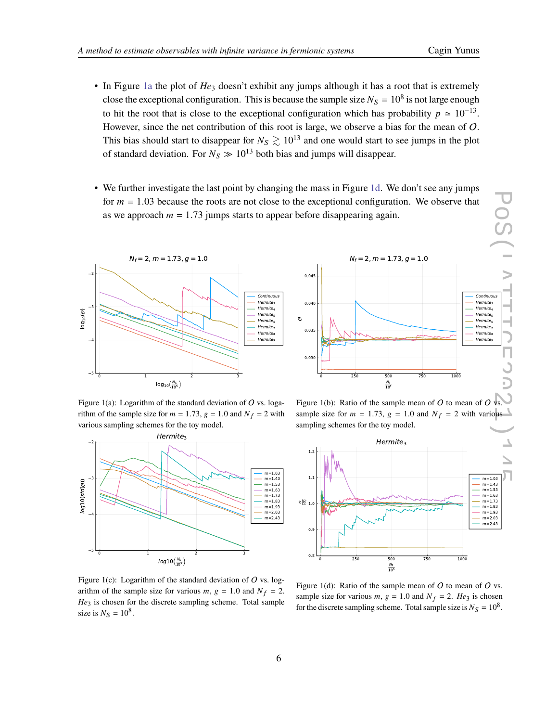- In Figure [1a](#page-5-0) the plot of *He*<sup>3</sup> doesn't exhibit any jumps although it has a root that is extremely close the exceptional configuration. This is because the sample size  $N_s = 10^8$  is not large enough to hit the root that is close to the exceptional configuration which has probability  $p \approx 10^{-13}$ . However, since the net contribution of this root is large, we observe a bias for the mean of O. This bias should start to disappear for  $N_S \gtrsim 10^{13}$  and one would start to see jumps in the plot of standard deviation. For  $N_S \gg 10^{13}$  both bias and jumps will disappear.
- We further investigate the last point by changing the mass in Figure [1d.](#page-5-0) We don't see any jumps for  $m = 1.03$  because the roots are not close to the exceptional configuration. We observe that as we approach  $m = 1.73$  jumps starts to appear before disappearing again.

<span id="page-5-0"></span>

Figure 1(a): Logarithm of the standard deviation of  $O$  vs. logarithm of the sample size for  $m = 1.73$ ,  $g = 1.0$  and  $N_f = 2$  with various sampling schemes for the toy model.



Figure 1(c): Logarithm of the standard deviation of  $O$  vs. logarithm of the sample size for various  $m, g = 1.0$  and  $N_f = 2$ . *He*<sub>3</sub> is chosen for the discrete sampling scheme. Total sample size is  $N_S = 10^8$ .



Figure 1(b): Ratio of the sample mean of  $O$  to mean of  $O$  vs. sample size for  $m = 1.73$ ,  $g = 1.0$  and  $N_f = 2$  with various sampling schemes for the toy model.



Figure 1(d): Ratio of the sample mean of  $O$  to mean of  $O$  vs. sample size for various  $m, g = 1.0$  and  $N_f = 2$ . *He*<sub>3</sub> is chosen for the discrete sampling scheme. Total sample size is  $N_S = 10^8$ .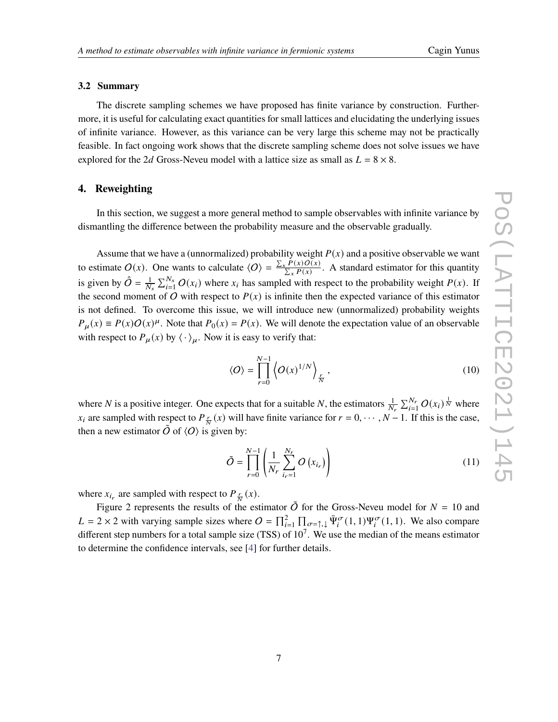### **3.2 Summary**

The discrete sampling schemes we have proposed has finite variance by construction. Furthermore, it is useful for calculating exact quantities for small lattices and elucidating the underlying issues of infinite variance. However, as this variance can be very large this scheme may not be practically feasible. In fact ongoing work shows that the discrete sampling scheme does not solve issues we have explored for the 2d Gross-Neveu model with a lattice size as small as  $L = 8 \times 8$ .

# **4. Reweighting**

In this section, we suggest a more general method to sample observables with infinite variance by dismantling the difference between the probability measure and the observable gradually.

Assume that we have a (unnormalized) probability weight  $P(x)$  and a positive observable we want to estimate  $O(x)$ . One wants to calculate  $\langle O \rangle = \frac{\sum_{x} P(x) O(x)}{\sum_{y} P(x)}$  $\frac{\sum_{i} P(x) O(x)}{\sum_{x} P(x)}$ . A standard estimator for this quantity is given by  $\hat{O} = \frac{1}{N_s} \sum_{i=1}^{N_s} O(x_i)$  where  $x_i$  has sampled with respect to the probability weight  $P(x)$ . If the second moment of O with respect to  $P(x)$  is infinite then the expected variance of this estimator is not defined. To overcome this issue, we will introduce new (unnormalized) probability weights  $P_{\mu}(x) \equiv P(x)O(x)^{\mu}$ . Note that  $P_0(x) = P(x)$ . We will denote the expectation value of an observable with respect to  $P_{\mu}(x)$  by  $\langle \cdot \rangle_{\mu}$ . Now it is easy to verify that:

$$
\langle O \rangle = \prod_{r=0}^{N-1} \left\langle O(x)^{1/N} \right\rangle_{\frac{r}{N}},\tag{10}
$$

where N is a positive integer. One expects that for a suitable N, the estimators  $\frac{1}{N_r} \sum_{i=1}^{N_r} O(x_i)^{\frac{1}{N}}$  where  $x_i$  are sampled with respect to  $P_{\frac{r}{N}}(x)$  will have finite variance for  $r = 0, \dots, N-1$ . If this is the case, then a new estimator  $\tilde{O}$  of  $\langle O \rangle$  is given by:

$$
\tilde{O} = \prod_{r=0}^{N-1} \left( \frac{1}{N_r} \sum_{i_r=1}^{N_r} O\left(x_{i_r}\right) \right) \tag{11}
$$

where  $x_{i_r}$  are sampled with respect to  $P_{\frac{r}{N}}(x)$ .

Figure 2 represents the results of the estimator  $\tilde{O}$  for the Gross-Neveu model for  $N = 10$  and  $L = 2 \times 2$  with varying sample sizes where  $O = \prod_{i=1}^{2} \prod_{\sigma=\uparrow,\downarrow} \bar{\Psi}_{i}^{\sigma}(1,1) \Psi_{i}^{\sigma}(1,1)$ . We also compare different step numbers for a total sample size (TSS) of  $10<sup>7</sup>$ . We use the median of the means estimator to determine the confidence intervals, see [\[4\]](#page-8-3) for further details.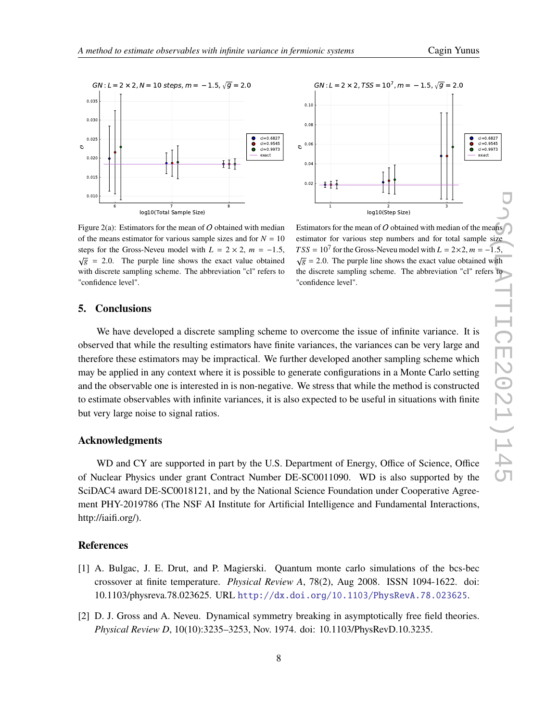



Figure 2(a): Estimators for the mean of O obtained with median of the means estimator for various sample sizes and for  $N = 10$ steps for the Gross-Neveu model with  $L = 2 \times 2$ ,  $m = -1.5$ ,  $\sqrt{g}$  = 2.0. The purple line shows the exact value obtained with discrete sampling scheme. The abbreviation "cl" refers to "confidence level".

Estimators for the mean of  $O$  obtained with median of the means estimator for various step numbers and for total sample size  $TSS = 10^7$  for the Gross-Neveu model with  $L = 2 \times 2$ ,  $m = -1.5$ ,  $\sqrt{g}$  = 2.0. The purple line shows the exact value obtained with the discrete sampling scheme. The abbreviation "cl" refers to "confidence level".

# **5. Conclusions**

We have developed a discrete sampling scheme to overcome the issue of infinite variance. It is observed that while the resulting estimators have finite variances, the variances can be very large and therefore these estimators may be impractical. We further developed another sampling scheme which may be applied in any context where it is possible to generate configurations in a Monte Carlo setting and the observable one is interested in is non-negative. We stress that while the method is constructed to estimate observables with infinite variances, it is also expected to be useful in situations with finite but very large noise to signal ratios.

# **Acknowledgments**

WD and CY are supported in part by the U.S. Department of Energy, Office of Science, Office of Nuclear Physics under grant Contract Number DE-SC0011090. WD is also supported by the SciDAC4 award DE-SC0018121, and by the National Science Foundation under Cooperative Agreement PHY-2019786 (The NSF AI Institute for Artificial Intelligence and Fundamental Interactions, http://iaifi.org/).

# **References**

- <span id="page-7-1"></span>[1] A. Bulgac, J. E. Drut, and P. Magierski. Quantum monte carlo simulations of the bcs-bec crossover at finite temperature. *Physical Review A*, 78(2), Aug 2008. ISSN 1094-1622. doi: 10.1103/physreva.78.023625. URL <http://dx.doi.org/10.1103/PhysRevA.78.023625>.
- <span id="page-7-0"></span>[2] D. J. Gross and A. Neveu. Dynamical symmetry breaking in asymptotically free field theories. *Physical Review D*, 10(10):3235–3253, Nov. 1974. doi: 10.1103/PhysRevD.10.3235.